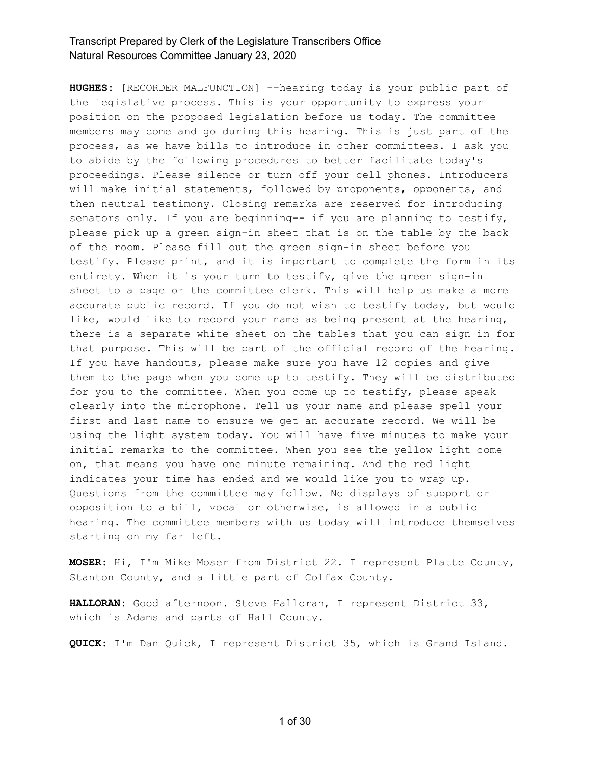**HUGHES:** [RECORDER MALFUNCTION] --hearing today is your public part of the legislative process. This is your opportunity to express your position on the proposed legislation before us today. The committee members may come and go during this hearing. This is just part of the process, as we have bills to introduce in other committees. I ask you to abide by the following procedures to better facilitate today's proceedings. Please silence or turn off your cell phones. Introducers will make initial statements, followed by proponents, opponents, and then neutral testimony. Closing remarks are reserved for introducing senators only. If you are beginning-- if you are planning to testify, please pick up a green sign-in sheet that is on the table by the back of the room. Please fill out the green sign-in sheet before you testify. Please print, and it is important to complete the form in its entirety. When it is your turn to testify, give the green sign-in sheet to a page or the committee clerk. This will help us make a more accurate public record. If you do not wish to testify today, but would like, would like to record your name as being present at the hearing, there is a separate white sheet on the tables that you can sign in for that purpose. This will be part of the official record of the hearing. If you have handouts, please make sure you have 12 copies and give them to the page when you come up to testify. They will be distributed for you to the committee. When you come up to testify, please speak clearly into the microphone. Tell us your name and please spell your first and last name to ensure we get an accurate record. We will be using the light system today. You will have five minutes to make your initial remarks to the committee. When you see the yellow light come on, that means you have one minute remaining. And the red light indicates your time has ended and we would like you to wrap up. Questions from the committee may follow. No displays of support or opposition to a bill, vocal or otherwise, is allowed in a public hearing. The committee members with us today will introduce themselves starting on my far left.

**MOSER:** Hi, I'm Mike Moser from District 22. I represent Platte County, Stanton County, and a little part of Colfax County.

**HALLORAN:** Good afternoon. Steve Halloran, I represent District 33, which is Adams and parts of Hall County.

**QUICK:** I'm Dan Quick, I represent District 35, which is Grand Island.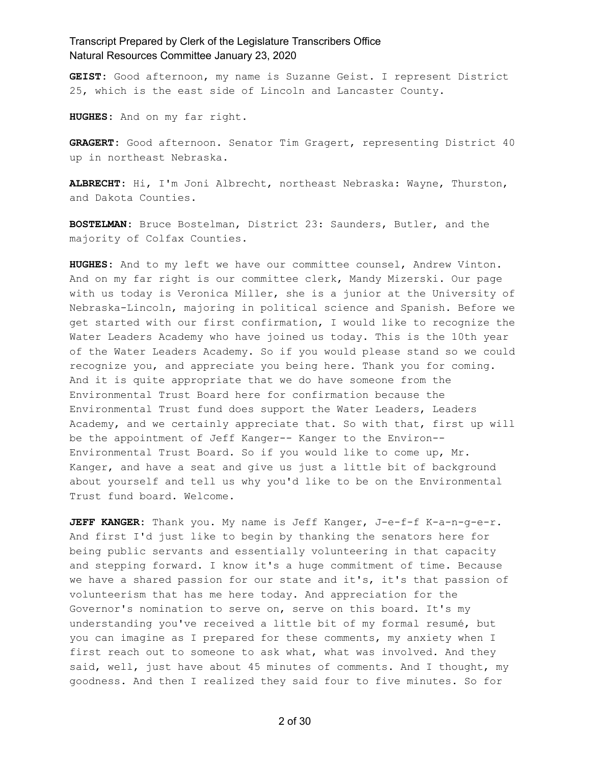**GEIST:** Good afternoon, my name is Suzanne Geist. I represent District 25, which is the east side of Lincoln and Lancaster County.

**HUGHES:** And on my far right.

**GRAGERT:** Good afternoon. Senator Tim Gragert, representing District 40 up in northeast Nebraska.

**ALBRECHT:** Hi, I'm Joni Albrecht, northeast Nebraska: Wayne, Thurston, and Dakota Counties.

**BOSTELMAN:** Bruce Bostelman, District 23: Saunders, Butler, and the majority of Colfax Counties.

**HUGHES:** And to my left we have our committee counsel, Andrew Vinton. And on my far right is our committee clerk, Mandy Mizerski. Our page with us today is Veronica Miller, she is a junior at the University of Nebraska-Lincoln, majoring in political science and Spanish. Before we get started with our first confirmation, I would like to recognize the Water Leaders Academy who have joined us today. This is the 10th year of the Water Leaders Academy. So if you would please stand so we could recognize you, and appreciate you being here. Thank you for coming. And it is quite appropriate that we do have someone from the Environmental Trust Board here for confirmation because the Environmental Trust fund does support the Water Leaders, Leaders Academy, and we certainly appreciate that. So with that, first up will be the appointment of Jeff Kanger-- Kanger to the Environ-- Environmental Trust Board. So if you would like to come up, Mr. Kanger, and have a seat and give us just a little bit of background about yourself and tell us why you'd like to be on the Environmental Trust fund board. Welcome.

**JEFF KANGER:** Thank you. My name is Jeff Kanger, J-e-f-f K-a-n-g-e-r. And first I'd just like to begin by thanking the senators here for being public servants and essentially volunteering in that capacity and stepping forward. I know it's a huge commitment of time. Because we have a shared passion for our state and it's, it's that passion of volunteerism that has me here today. And appreciation for the Governor's nomination to serve on, serve on this board. It's my understanding you've received a little bit of my formal resumé, but you can imagine as I prepared for these comments, my anxiety when I first reach out to someone to ask what, what was involved. And they said, well, just have about 45 minutes of comments. And I thought, my goodness. And then I realized they said four to five minutes. So for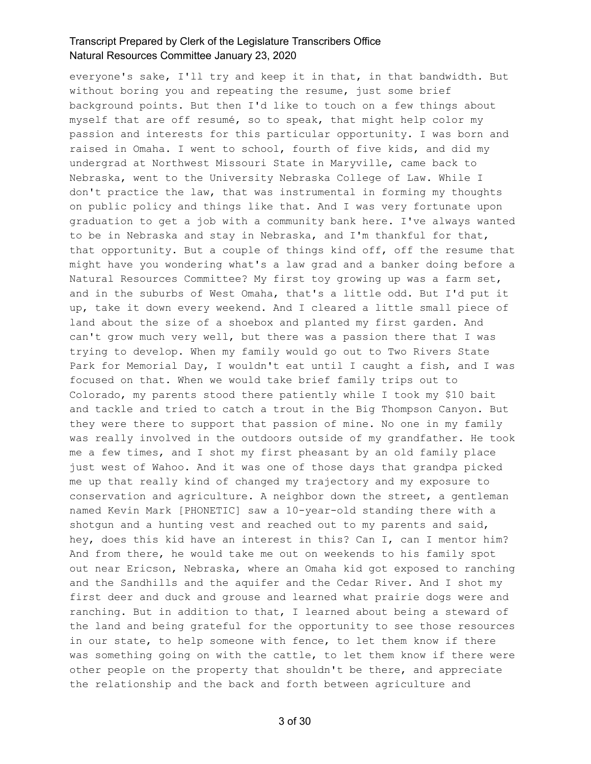everyone's sake, I'll try and keep it in that, in that bandwidth. But without boring you and repeating the resume, just some brief background points. But then I'd like to touch on a few things about myself that are off resumé, so to speak, that might help color my passion and interests for this particular opportunity. I was born and raised in Omaha. I went to school, fourth of five kids, and did my undergrad at Northwest Missouri State in Maryville, came back to Nebraska, went to the University Nebraska College of Law. While I don't practice the law, that was instrumental in forming my thoughts on public policy and things like that. And I was very fortunate upon graduation to get a job with a community bank here. I've always wanted to be in Nebraska and stay in Nebraska, and I'm thankful for that, that opportunity. But a couple of things kind off, off the resume that might have you wondering what's a law grad and a banker doing before a Natural Resources Committee? My first toy growing up was a farm set, and in the suburbs of West Omaha, that's a little odd. But I'd put it up, take it down every weekend. And I cleared a little small piece of land about the size of a shoebox and planted my first garden. And can't grow much very well, but there was a passion there that I was trying to develop. When my family would go out to Two Rivers State Park for Memorial Day, I wouldn't eat until I caught a fish, and I was focused on that. When we would take brief family trips out to Colorado, my parents stood there patiently while I took my \$10 bait and tackle and tried to catch a trout in the Big Thompson Canyon. But they were there to support that passion of mine. No one in my family was really involved in the outdoors outside of my grandfather. He took me a few times, and I shot my first pheasant by an old family place just west of Wahoo. And it was one of those days that grandpa picked me up that really kind of changed my trajectory and my exposure to conservation and agriculture. A neighbor down the street, a gentleman named Kevin Mark [PHONETIC] saw a 10-year-old standing there with a shotgun and a hunting vest and reached out to my parents and said, hey, does this kid have an interest in this? Can I, can I mentor him? And from there, he would take me out on weekends to his family spot out near Ericson, Nebraska, where an Omaha kid got exposed to ranching and the Sandhills and the aquifer and the Cedar River. And I shot my first deer and duck and grouse and learned what prairie dogs were and ranching. But in addition to that, I learned about being a steward of the land and being grateful for the opportunity to see those resources in our state, to help someone with fence, to let them know if there was something going on with the cattle, to let them know if there were other people on the property that shouldn't be there, and appreciate the relationship and the back and forth between agriculture and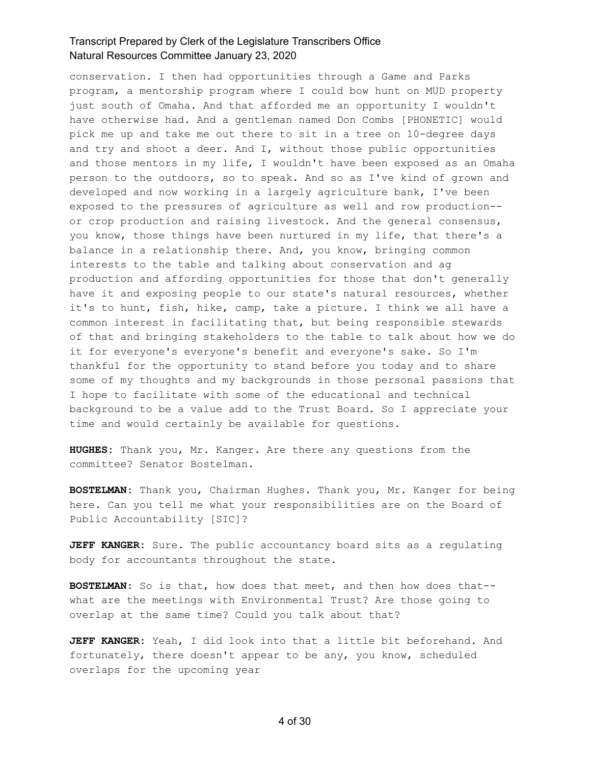conservation. I then had opportunities through a Game and Parks program, a mentorship program where I could bow hunt on MUD property just south of Omaha. And that afforded me an opportunity I wouldn't have otherwise had. And a gentleman named Don Combs [PHONETIC] would pick me up and take me out there to sit in a tree on 10-degree days and try and shoot a deer. And I, without those public opportunities and those mentors in my life, I wouldn't have been exposed as an Omaha person to the outdoors, so to speak. And so as I've kind of grown and developed and now working in a largely agriculture bank, I've been exposed to the pressures of agriculture as well and row production- or crop production and raising livestock. And the general consensus, you know, those things have been nurtured in my life, that there's a balance in a relationship there. And, you know, bringing common interests to the table and talking about conservation and ag production and affording opportunities for those that don't generally have it and exposing people to our state's natural resources, whether it's to hunt, fish, hike, camp, take a picture. I think we all have a common interest in facilitating that, but being responsible stewards of that and bringing stakeholders to the table to talk about how we do it for everyone's everyone's benefit and everyone's sake. So I'm thankful for the opportunity to stand before you today and to share some of my thoughts and my backgrounds in those personal passions that I hope to facilitate with some of the educational and technical background to be a value add to the Trust Board. So I appreciate your time and would certainly be available for questions.

**HUGHES:** Thank you, Mr. Kanger. Are there any questions from the committee? Senator Bostelman.

**BOSTELMAN:** Thank you, Chairman Hughes. Thank you, Mr. Kanger for being here. Can you tell me what your responsibilities are on the Board of Public Accountability [SIC]?

**JEFF KANGER:** Sure. The public accountancy board sits as a regulating body for accountants throughout the state.

**BOSTELMAN:** So is that, how does that meet, and then how does that- what are the meetings with Environmental Trust? Are those going to overlap at the same time? Could you talk about that?

**JEFF KANGER:** Yeah, I did look into that a little bit beforehand. And fortunately, there doesn't appear to be any, you know, scheduled overlaps for the upcoming year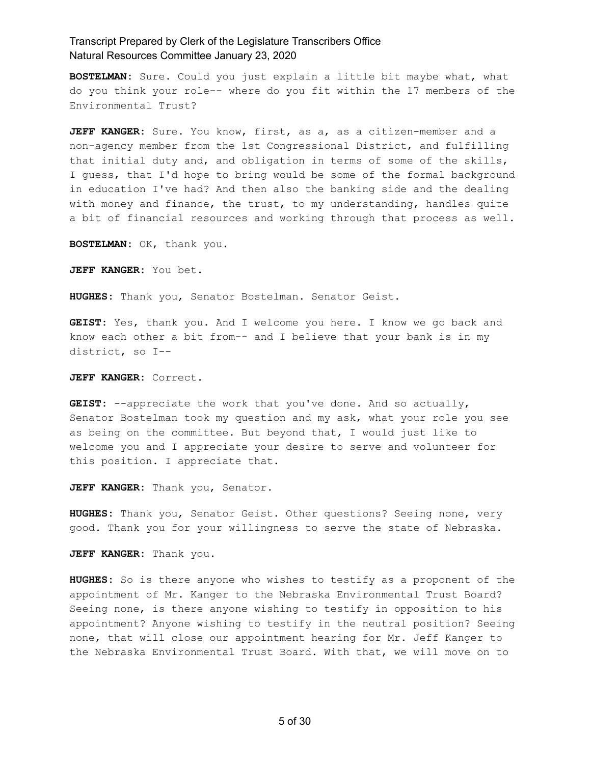**BOSTELMAN:** Sure. Could you just explain a little bit maybe what, what do you think your role-- where do you fit within the 17 members of the Environmental Trust?

**JEFF KANGER:** Sure. You know, first, as a, as a citizen-member and a non-agency member from the 1st Congressional District, and fulfilling that initial duty and, and obligation in terms of some of the skills, I guess, that I'd hope to bring would be some of the formal background in education I've had? And then also the banking side and the dealing with money and finance, the trust, to my understanding, handles quite a bit of financial resources and working through that process as well.

**BOSTELMAN:** OK, thank you.

**JEFF KANGER:** You bet.

**HUGHES:** Thank you, Senator Bostelman. Senator Geist.

**GEIST:** Yes, thank you. And I welcome you here. I know we go back and know each other a bit from-- and I believe that your bank is in my district, so I--

**JEFF KANGER:** Correct.

**GEIST:** --appreciate the work that you've done. And so actually, Senator Bostelman took my question and my ask, what your role you see as being on the committee. But beyond that, I would just like to welcome you and I appreciate your desire to serve and volunteer for this position. I appreciate that.

**JEFF KANGER:** Thank you, Senator.

**HUGHES:** Thank you, Senator Geist. Other questions? Seeing none, very good. Thank you for your willingness to serve the state of Nebraska.

**JEFF KANGER:** Thank you.

**HUGHES:** So is there anyone who wishes to testify as a proponent of the appointment of Mr. Kanger to the Nebraska Environmental Trust Board? Seeing none, is there anyone wishing to testify in opposition to his appointment? Anyone wishing to testify in the neutral position? Seeing none, that will close our appointment hearing for Mr. Jeff Kanger to the Nebraska Environmental Trust Board. With that, we will move on to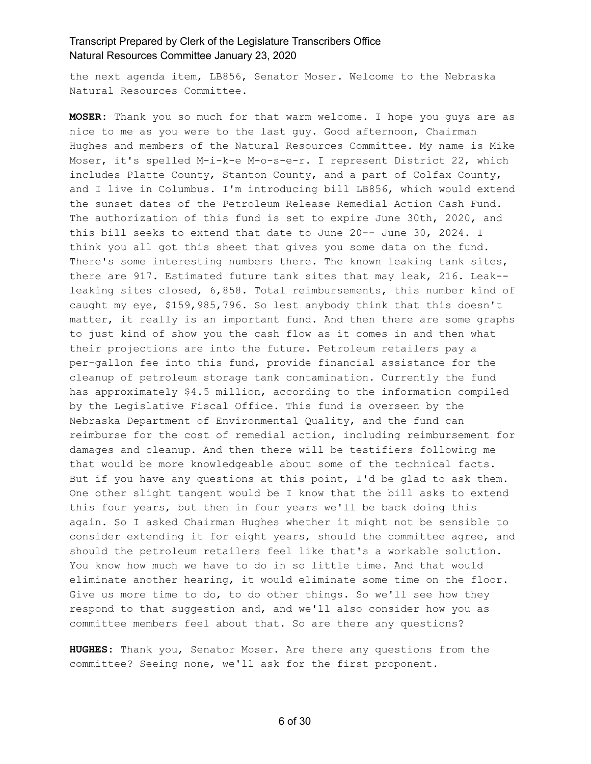the next agenda item, LB856, Senator Moser. Welcome to the Nebraska Natural Resources Committee.

**MOSER:** Thank you so much for that warm welcome. I hope you guys are as nice to me as you were to the last guy. Good afternoon, Chairman Hughes and members of the Natural Resources Committee. My name is Mike Moser, it's spelled M-i-k-e M-o-s-e-r. I represent District 22, which includes Platte County, Stanton County, and a part of Colfax County, and I live in Columbus. I'm introducing bill LB856, which would extend the sunset dates of the Petroleum Release Remedial Action Cash Fund. The authorization of this fund is set to expire June 30th, 2020, and this bill seeks to extend that date to June 20-- June 30, 2024. I think you all got this sheet that gives you some data on the fund. There's some interesting numbers there. The known leaking tank sites, there are 917. Estimated future tank sites that may leak, 216. Leak- leaking sites closed, 6,858. Total reimbursements, this number kind of caught my eye, \$159,985,796. So lest anybody think that this doesn't matter, it really is an important fund. And then there are some graphs to just kind of show you the cash flow as it comes in and then what their projections are into the future. Petroleum retailers pay a per-gallon fee into this fund, provide financial assistance for the cleanup of petroleum storage tank contamination. Currently the fund has approximately \$4.5 million, according to the information compiled by the Legislative Fiscal Office. This fund is overseen by the Nebraska Department of Environmental Quality, and the fund can reimburse for the cost of remedial action, including reimbursement for damages and cleanup. And then there will be testifiers following me that would be more knowledgeable about some of the technical facts. But if you have any questions at this point, I'd be glad to ask them. One other slight tangent would be I know that the bill asks to extend this four years, but then in four years we'll be back doing this again. So I asked Chairman Hughes whether it might not be sensible to consider extending it for eight years, should the committee agree, and should the petroleum retailers feel like that's a workable solution. You know how much we have to do in so little time. And that would eliminate another hearing, it would eliminate some time on the floor. Give us more time to do, to do other things. So we'll see how they respond to that suggestion and, and we'll also consider how you as committee members feel about that. So are there any questions?

**HUGHES:** Thank you, Senator Moser. Are there any questions from the committee? Seeing none, we'll ask for the first proponent.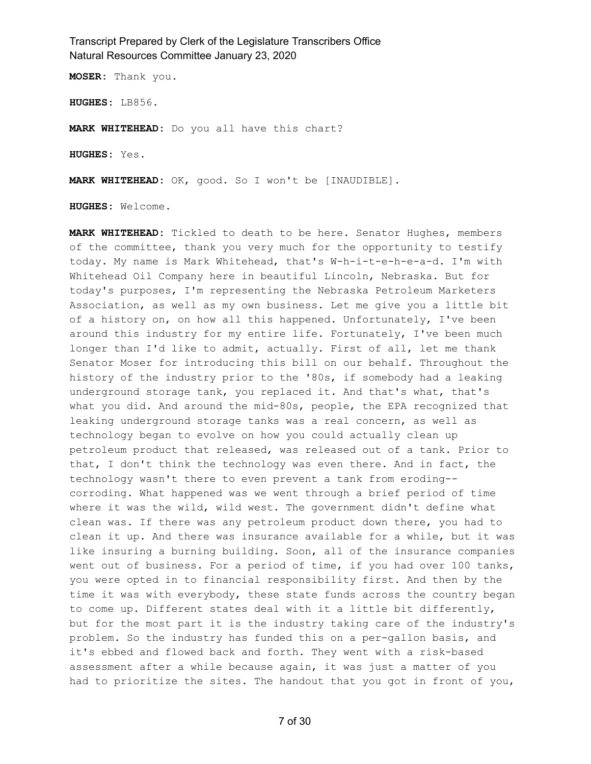**MOSER:** Thank you.

**HUGHES:** LB856.

**MARK WHITEHEAD:** Do you all have this chart?

**HUGHES:** Yes.

**MARK WHITEHEAD:** OK, good. So I won't be [INAUDIBLE].

**HUGHES:** Welcome.

**MARK WHITEHEAD:** Tickled to death to be here. Senator Hughes, members of the committee, thank you very much for the opportunity to testify today. My name is Mark Whitehead, that's W-h-i-t-e-h-e-a-d. I'm with Whitehead Oil Company here in beautiful Lincoln, Nebraska. But for today's purposes, I'm representing the Nebraska Petroleum Marketers Association, as well as my own business. Let me give you a little bit of a history on, on how all this happened. Unfortunately, I've been around this industry for my entire life. Fortunately, I've been much longer than I'd like to admit, actually. First of all, let me thank Senator Moser for introducing this bill on our behalf. Throughout the history of the industry prior to the '80s, if somebody had a leaking underground storage tank, you replaced it. And that's what, that's what you did. And around the mid-80s, people, the EPA recognized that leaking underground storage tanks was a real concern, as well as technology began to evolve on how you could actually clean up petroleum product that released, was released out of a tank. Prior to that, I don't think the technology was even there. And in fact, the technology wasn't there to even prevent a tank from eroding- corroding. What happened was we went through a brief period of time where it was the wild, wild west. The government didn't define what clean was. If there was any petroleum product down there, you had to clean it up. And there was insurance available for a while, but it was like insuring a burning building. Soon, all of the insurance companies went out of business. For a period of time, if you had over 100 tanks, you were opted in to financial responsibility first. And then by the time it was with everybody, these state funds across the country began to come up. Different states deal with it a little bit differently, but for the most part it is the industry taking care of the industry's problem. So the industry has funded this on a per-gallon basis, and it's ebbed and flowed back and forth. They went with a risk-based assessment after a while because again, it was just a matter of you had to prioritize the sites. The handout that you got in front of you,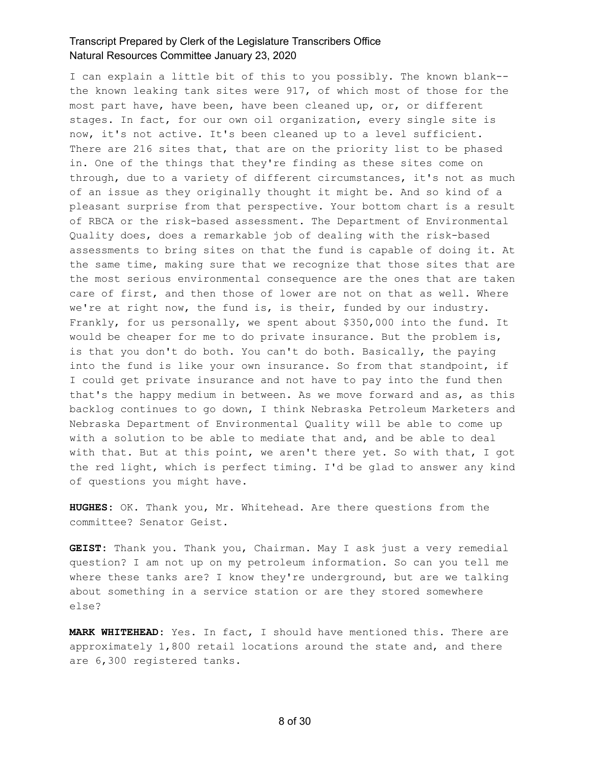I can explain a little bit of this to you possibly. The known blank- the known leaking tank sites were 917, of which most of those for the most part have, have been, have been cleaned up, or, or different stages. In fact, for our own oil organization, every single site is now, it's not active. It's been cleaned up to a level sufficient. There are 216 sites that, that are on the priority list to be phased in. One of the things that they're finding as these sites come on through, due to a variety of different circumstances, it's not as much of an issue as they originally thought it might be. And so kind of a pleasant surprise from that perspective. Your bottom chart is a result of RBCA or the risk-based assessment. The Department of Environmental Quality does, does a remarkable job of dealing with the risk-based assessments to bring sites on that the fund is capable of doing it. At the same time, making sure that we recognize that those sites that are the most serious environmental consequence are the ones that are taken care of first, and then those of lower are not on that as well. Where we're at right now, the fund is, is their, funded by our industry. Frankly, for us personally, we spent about \$350,000 into the fund. It would be cheaper for me to do private insurance. But the problem is, is that you don't do both. You can't do both. Basically, the paying into the fund is like your own insurance. So from that standpoint, if I could get private insurance and not have to pay into the fund then that's the happy medium in between. As we move forward and as, as this backlog continues to go down, I think Nebraska Petroleum Marketers and Nebraska Department of Environmental Quality will be able to come up with a solution to be able to mediate that and, and be able to deal with that. But at this point, we aren't there yet. So with that, I got the red light, which is perfect timing. I'd be glad to answer any kind of questions you might have.

**HUGHES:** OK. Thank you, Mr. Whitehead. Are there questions from the committee? Senator Geist.

**GEIST:** Thank you. Thank you, Chairman. May I ask just a very remedial question? I am not up on my petroleum information. So can you tell me where these tanks are? I know they're underground, but are we talking about something in a service station or are they stored somewhere else?

**MARK WHITEHEAD:** Yes. In fact, I should have mentioned this. There are approximately 1,800 retail locations around the state and, and there are 6,300 registered tanks.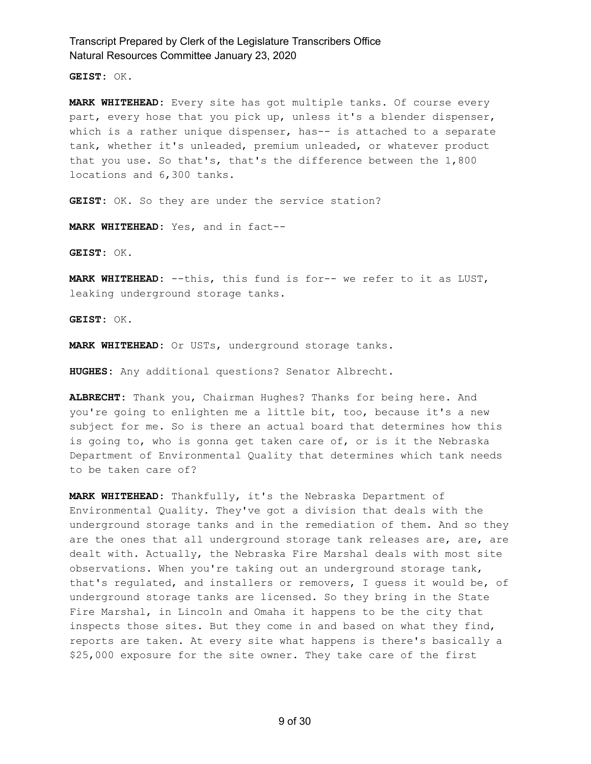**GEIST:** OK.

**MARK WHITEHEAD:** Every site has got multiple tanks. Of course every part, every hose that you pick up, unless it's a blender dispenser, which is a rather unique dispenser, has-- is attached to a separate tank, whether it's unleaded, premium unleaded, or whatever product that you use. So that's, that's the difference between the 1,800 locations and 6,300 tanks.

GEIST: OK. So they are under the service station?

**MARK WHITEHEAD:** Yes, and in fact--

**GEIST:** OK.

**MARK WHITEHEAD:** --this, this fund is for-- we refer to it as LUST, leaking underground storage tanks.

**GEIST:** OK.

**MARK WHITEHEAD:** Or USTs, underground storage tanks.

**HUGHES:** Any additional questions? Senator Albrecht.

**ALBRECHT:** Thank you, Chairman Hughes? Thanks for being here. And you're going to enlighten me a little bit, too, because it's a new subject for me. So is there an actual board that determines how this is going to, who is gonna get taken care of, or is it the Nebraska Department of Environmental Quality that determines which tank needs to be taken care of?

**MARK WHITEHEAD:** Thankfully, it's the Nebraska Department of Environmental Quality. They've got a division that deals with the underground storage tanks and in the remediation of them. And so they are the ones that all underground storage tank releases are, are, are dealt with. Actually, the Nebraska Fire Marshal deals with most site observations. When you're taking out an underground storage tank, that's regulated, and installers or removers, I guess it would be, of underground storage tanks are licensed. So they bring in the State Fire Marshal, in Lincoln and Omaha it happens to be the city that inspects those sites. But they come in and based on what they find, reports are taken. At every site what happens is there's basically a \$25,000 exposure for the site owner. They take care of the first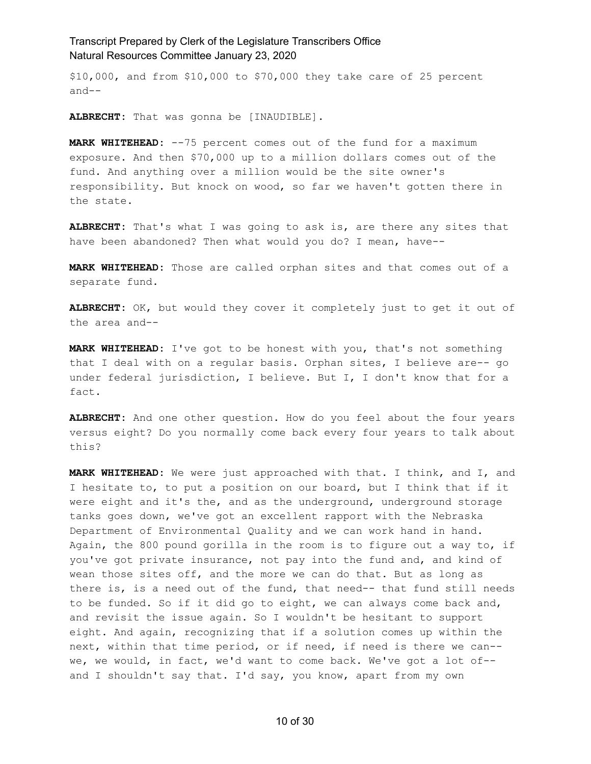\$10,000, and from \$10,000 to \$70,000 they take care of 25 percent and--

**ALBRECHT:** That was gonna be [INAUDIBLE].

**MARK WHITEHEAD:** --75 percent comes out of the fund for a maximum exposure. And then \$70,000 up to a million dollars comes out of the fund. And anything over a million would be the site owner's responsibility. But knock on wood, so far we haven't gotten there in the state.

**ALBRECHT:** That's what I was going to ask is, are there any sites that have been abandoned? Then what would you do? I mean, have--

**MARK WHITEHEAD:** Those are called orphan sites and that comes out of a separate fund.

**ALBRECHT:** OK, but would they cover it completely just to get it out of the area and--

**MARK WHITEHEAD:** I've got to be honest with you, that's not something that I deal with on a regular basis. Orphan sites, I believe are-- go under federal jurisdiction, I believe. But I, I don't know that for a fact.

**ALBRECHT:** And one other question. How do you feel about the four years versus eight? Do you normally come back every four years to talk about this?

**MARK WHITEHEAD:** We were just approached with that. I think, and I, and I hesitate to, to put a position on our board, but I think that if it were eight and it's the, and as the underground, underground storage tanks goes down, we've got an excellent rapport with the Nebraska Department of Environmental Quality and we can work hand in hand. Again, the 800 pound gorilla in the room is to figure out a way to, if you've got private insurance, not pay into the fund and, and kind of wean those sites off, and the more we can do that. But as long as there is, is a need out of the fund, that need-- that fund still needs to be funded. So if it did go to eight, we can always come back and, and revisit the issue again. So I wouldn't be hesitant to support eight. And again, recognizing that if a solution comes up within the next, within that time period, or if need, if need is there we can- we, we would, in fact, we'd want to come back. We've got a lot of- and I shouldn't say that. I'd say, you know, apart from my own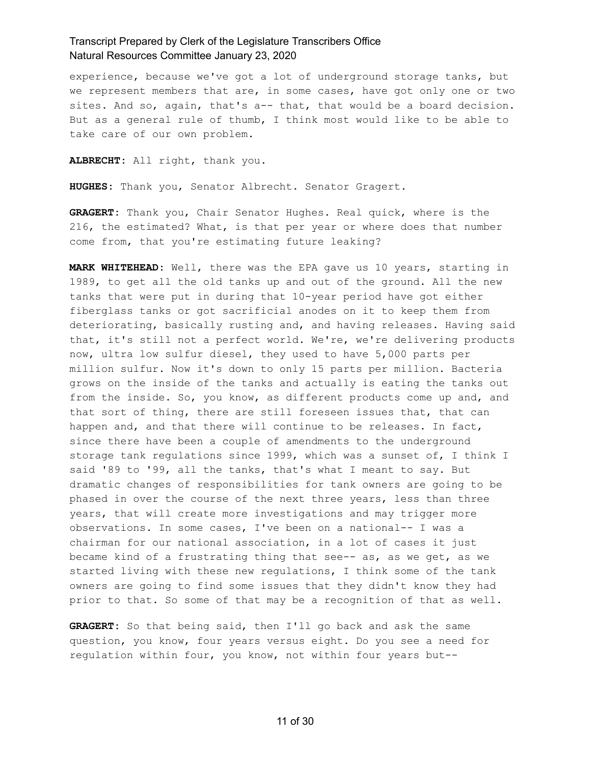experience, because we've got a lot of underground storage tanks, but we represent members that are, in some cases, have got only one or two sites. And so, again, that's a-- that, that would be a board decision. But as a general rule of thumb, I think most would like to be able to take care of our own problem.

**ALBRECHT:** All right, thank you.

**HUGHES:** Thank you, Senator Albrecht. Senator Gragert.

**GRAGERT:** Thank you, Chair Senator Hughes. Real quick, where is the 216, the estimated? What, is that per year or where does that number come from, that you're estimating future leaking?

**MARK WHITEHEAD:** Well, there was the EPA gave us 10 years, starting in 1989, to get all the old tanks up and out of the ground. All the new tanks that were put in during that 10-year period have got either fiberglass tanks or got sacrificial anodes on it to keep them from deteriorating, basically rusting and, and having releases. Having said that, it's still not a perfect world. We're, we're delivering products now, ultra low sulfur diesel, they used to have 5,000 parts per million sulfur. Now it's down to only 15 parts per million. Bacteria grows on the inside of the tanks and actually is eating the tanks out from the inside. So, you know, as different products come up and, and that sort of thing, there are still foreseen issues that, that can happen and, and that there will continue to be releases. In fact, since there have been a couple of amendments to the underground storage tank regulations since 1999, which was a sunset of, I think I said '89 to '99, all the tanks, that's what I meant to say. But dramatic changes of responsibilities for tank owners are going to be phased in over the course of the next three years, less than three years, that will create more investigations and may trigger more observations. In some cases, I've been on a national-- I was a chairman for our national association, in a lot of cases it just became kind of a frustrating thing that see-- as, as we get, as we started living with these new regulations, I think some of the tank owners are going to find some issues that they didn't know they had prior to that. So some of that may be a recognition of that as well.

**GRAGERT:** So that being said, then I'll go back and ask the same question, you know, four years versus eight. Do you see a need for regulation within four, you know, not within four years but--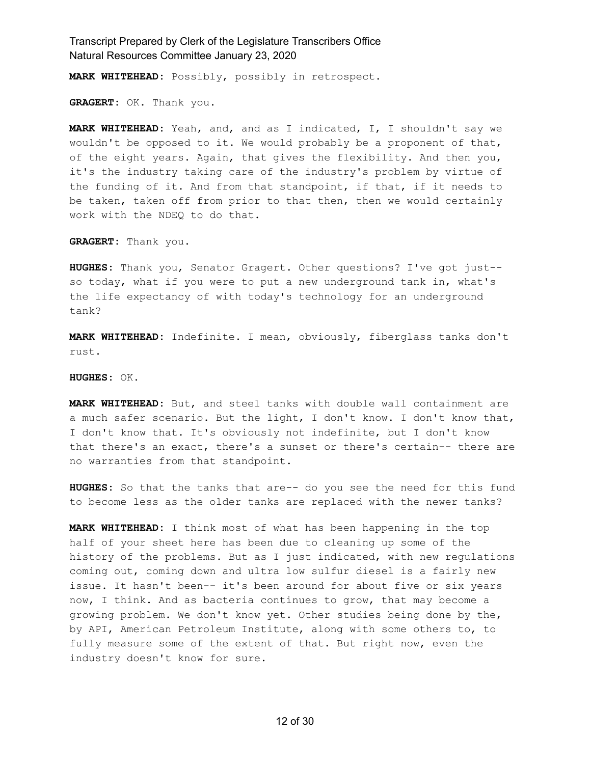**MARK WHITEHEAD:** Possibly, possibly in retrospect.

**GRAGERT:** OK. Thank you.

**MARK WHITEHEAD:** Yeah, and, and as I indicated, I, I shouldn't say we wouldn't be opposed to it. We would probably be a proponent of that, of the eight years. Again, that gives the flexibility. And then you, it's the industry taking care of the industry's problem by virtue of the funding of it. And from that standpoint, if that, if it needs to be taken, taken off from prior to that then, then we would certainly work with the NDEQ to do that.

**GRAGERT:** Thank you.

**HUGHES:** Thank you, Senator Gragert. Other questions? I've got just- so today, what if you were to put a new underground tank in, what's the life expectancy of with today's technology for an underground tank?

**MARK WHITEHEAD:** Indefinite. I mean, obviously, fiberglass tanks don't rust.

**HUGHES:** OK.

**MARK WHITEHEAD:** But, and steel tanks with double wall containment are a much safer scenario. But the light, I don't know. I don't know that, I don't know that. It's obviously not indefinite, but I don't know that there's an exact, there's a sunset or there's certain-- there are no warranties from that standpoint.

**HUGHES:** So that the tanks that are-- do you see the need for this fund to become less as the older tanks are replaced with the newer tanks?

**MARK WHITEHEAD:** I think most of what has been happening in the top half of your sheet here has been due to cleaning up some of the history of the problems. But as I just indicated, with new regulations coming out, coming down and ultra low sulfur diesel is a fairly new issue. It hasn't been-- it's been around for about five or six years now, I think. And as bacteria continues to grow, that may become a growing problem. We don't know yet. Other studies being done by the, by API, American Petroleum Institute, along with some others to, to fully measure some of the extent of that. But right now, even the industry doesn't know for sure.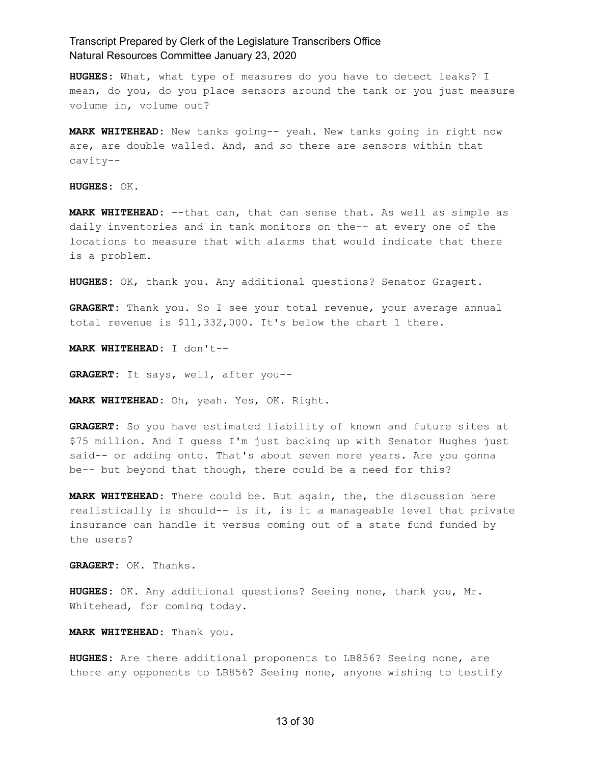**HUGHES:** What, what type of measures do you have to detect leaks? I mean, do you, do you place sensors around the tank or you just measure volume in, volume out?

**MARK WHITEHEAD:** New tanks going-- yeah. New tanks going in right now are, are double walled. And, and so there are sensors within that cavity--

**HUGHES:** OK.

**MARK WHITEHEAD:** --that can, that can sense that. As well as simple as daily inventories and in tank monitors on the-- at every one of the locations to measure that with alarms that would indicate that there is a problem.

**HUGHES:** OK, thank you. Any additional questions? Senator Gragert.

**GRAGERT:** Thank you. So I see your total revenue, your average annual total revenue is \$11,332,000. It's below the chart 1 there.

**MARK WHITEHEAD:** I don't--

**GRAGERT:** It says, well, after you--

**MARK WHITEHEAD:** Oh, yeah. Yes, OK. Right.

**GRAGERT:** So you have estimated liability of known and future sites at \$75 million. And I guess I'm just backing up with Senator Hughes just said-- or adding onto. That's about seven more years. Are you gonna be-- but beyond that though, there could be a need for this?

**MARK WHITEHEAD:** There could be. But again, the, the discussion here realistically is should-- is it, is it a manageable level that private insurance can handle it versus coming out of a state fund funded by the users?

**GRAGERT:** OK. Thanks.

**HUGHES:** OK. Any additional questions? Seeing none, thank you, Mr. Whitehead, for coming today.

**MARK WHITEHEAD:** Thank you.

**HUGHES:** Are there additional proponents to LB856? Seeing none, are there any opponents to LB856? Seeing none, anyone wishing to testify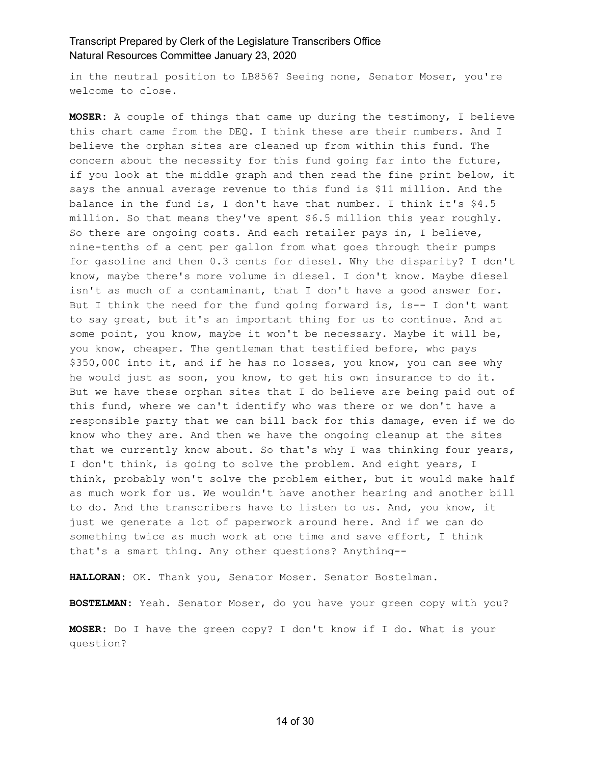in the neutral position to LB856? Seeing none, Senator Moser, you're welcome to close.

**MOSER:** A couple of things that came up during the testimony, I believe this chart came from the DEQ. I think these are their numbers. And I believe the orphan sites are cleaned up from within this fund. The concern about the necessity for this fund going far into the future, if you look at the middle graph and then read the fine print below, it says the annual average revenue to this fund is \$11 million. And the balance in the fund is, I don't have that number. I think it's \$4.5 million. So that means they've spent \$6.5 million this year roughly. So there are ongoing costs. And each retailer pays in, I believe, nine-tenths of a cent per gallon from what goes through their pumps for gasoline and then 0.3 cents for diesel. Why the disparity? I don't know, maybe there's more volume in diesel. I don't know. Maybe diesel isn't as much of a contaminant, that I don't have a good answer for. But I think the need for the fund going forward is, is-- I don't want to say great, but it's an important thing for us to continue. And at some point, you know, maybe it won't be necessary. Maybe it will be, you know, cheaper. The gentleman that testified before, who pays \$350,000 into it, and if he has no losses, you know, you can see why he would just as soon, you know, to get his own insurance to do it. But we have these orphan sites that I do believe are being paid out of this fund, where we can't identify who was there or we don't have a responsible party that we can bill back for this damage, even if we do know who they are. And then we have the ongoing cleanup at the sites that we currently know about. So that's why I was thinking four years, I don't think, is going to solve the problem. And eight years, I think, probably won't solve the problem either, but it would make half as much work for us. We wouldn't have another hearing and another bill to do. And the transcribers have to listen to us. And, you know, it just we generate a lot of paperwork around here. And if we can do something twice as much work at one time and save effort, I think that's a smart thing. Any other questions? Anything--

**HALLORAN:** OK. Thank you, Senator Moser. Senator Bostelman.

**BOSTELMAN:** Yeah. Senator Moser, do you have your green copy with you?

**MOSER:** Do I have the green copy? I don't know if I do. What is your question?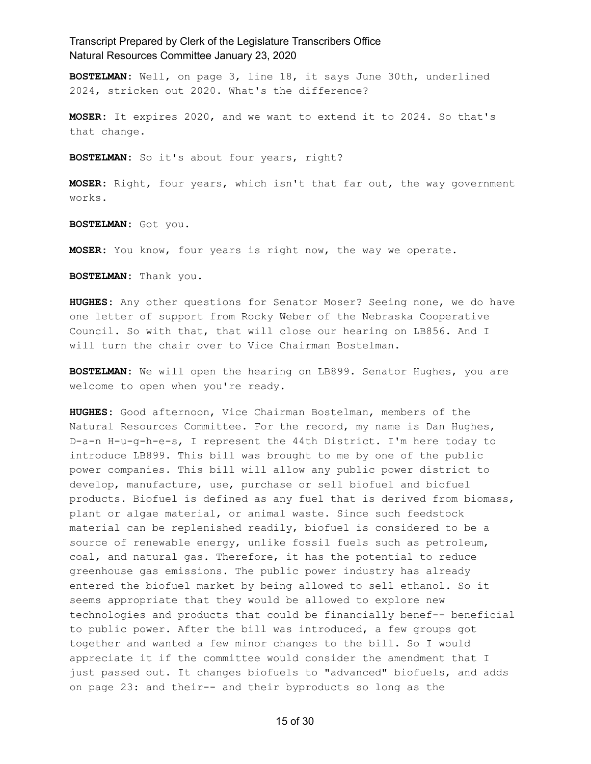**BOSTELMAN:** Well, on page 3, line 18, it says June 30th, underlined 2024, stricken out 2020. What's the difference?

**MOSER:** It expires 2020, and we want to extend it to 2024. So that's that change.

**BOSTELMAN:** So it's about four years, right?

**MOSER:** Right, four years, which isn't that far out, the way government works.

**BOSTELMAN:** Got you.

**MOSER:** You know, four years is right now, the way we operate.

**BOSTELMAN:** Thank you.

**HUGHES:** Any other questions for Senator Moser? Seeing none, we do have one letter of support from Rocky Weber of the Nebraska Cooperative Council. So with that, that will close our hearing on LB856. And I will turn the chair over to Vice Chairman Bostelman.

**BOSTELMAN:** We will open the hearing on LB899. Senator Hughes, you are welcome to open when you're ready.

**HUGHES:** Good afternoon, Vice Chairman Bostelman, members of the Natural Resources Committee. For the record, my name is Dan Hughes, D-a-n H-u-g-h-e-s, I represent the 44th District. I'm here today to introduce LB899. This bill was brought to me by one of the public power companies. This bill will allow any public power district to develop, manufacture, use, purchase or sell biofuel and biofuel products. Biofuel is defined as any fuel that is derived from biomass, plant or algae material, or animal waste. Since such feedstock material can be replenished readily, biofuel is considered to be a source of renewable energy, unlike fossil fuels such as petroleum, coal, and natural gas. Therefore, it has the potential to reduce greenhouse gas emissions. The public power industry has already entered the biofuel market by being allowed to sell ethanol. So it seems appropriate that they would be allowed to explore new technologies and products that could be financially benef-- beneficial to public power. After the bill was introduced, a few groups got together and wanted a few minor changes to the bill. So I would appreciate it if the committee would consider the amendment that I just passed out. It changes biofuels to "advanced" biofuels, and adds on page 23: and their-- and their byproducts so long as the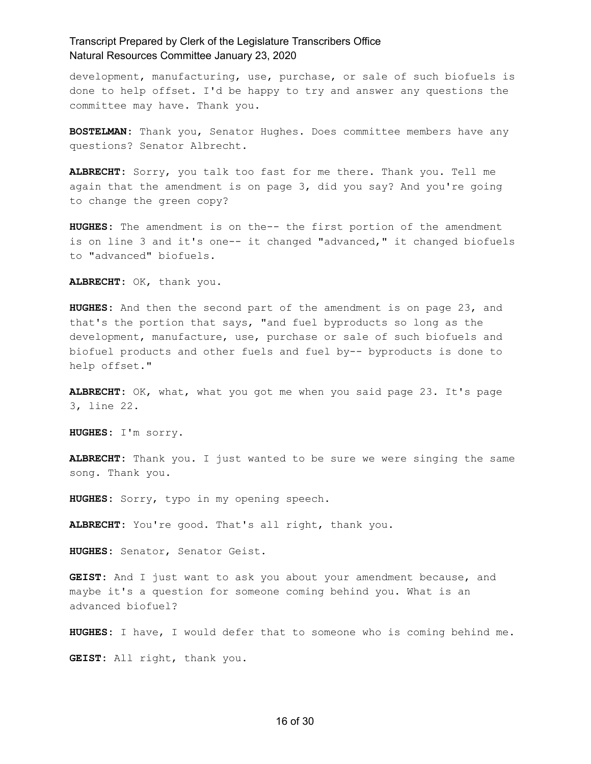development, manufacturing, use, purchase, or sale of such biofuels is done to help offset. I'd be happy to try and answer any questions the committee may have. Thank you.

**BOSTELMAN:** Thank you, Senator Hughes. Does committee members have any questions? Senator Albrecht.

**ALBRECHT:** Sorry, you talk too fast for me there. Thank you. Tell me again that the amendment is on page 3, did you say? And you're going to change the green copy?

**HUGHES:** The amendment is on the-- the first portion of the amendment is on line 3 and it's one-- it changed "advanced," it changed biofuels to "advanced" biofuels.

**ALBRECHT:** OK, thank you.

**HUGHES:** And then the second part of the amendment is on page 23, and that's the portion that says, "and fuel byproducts so long as the development, manufacture, use, purchase or sale of such biofuels and biofuel products and other fuels and fuel by-- byproducts is done to help offset."

**ALBRECHT:** OK, what, what you got me when you said page 23. It's page 3, line 22.

**HUGHES:** I'm sorry.

**ALBRECHT:** Thank you. I just wanted to be sure we were singing the same song. Thank you.

**HUGHES:** Sorry, typo in my opening speech.

**ALBRECHT:** You're good. That's all right, thank you.

**HUGHES:** Senator, Senator Geist.

**GEIST:** And I just want to ask you about your amendment because, and maybe it's a question for someone coming behind you. What is an advanced biofuel?

**HUGHES:** I have, I would defer that to someone who is coming behind me.

**GEIST:** All right, thank you.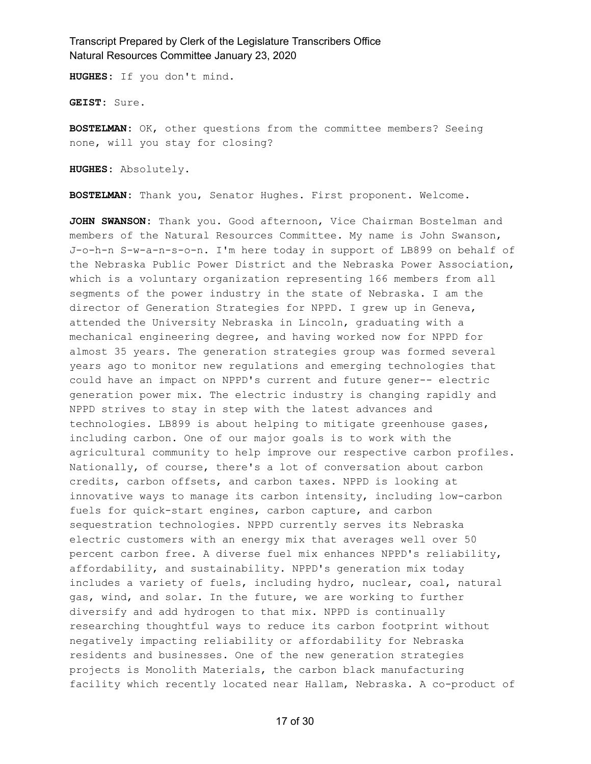**HUGHES:** If you don't mind.

**GEIST:** Sure.

**BOSTELMAN:** OK, other questions from the committee members? Seeing none, will you stay for closing?

**HUGHES:** Absolutely.

**BOSTELMAN:** Thank you, Senator Hughes. First proponent. Welcome.

**JOHN SWANSON:** Thank you. Good afternoon, Vice Chairman Bostelman and members of the Natural Resources Committee. My name is John Swanson, J-o-h-n S-w-a-n-s-o-n. I'm here today in support of LB899 on behalf of the Nebraska Public Power District and the Nebraska Power Association, which is a voluntary organization representing 166 members from all segments of the power industry in the state of Nebraska. I am the director of Generation Strategies for NPPD. I grew up in Geneva, attended the University Nebraska in Lincoln, graduating with a mechanical engineering degree, and having worked now for NPPD for almost 35 years. The generation strategies group was formed several years ago to monitor new regulations and emerging technologies that could have an impact on NPPD's current and future gener-- electric generation power mix. The electric industry is changing rapidly and NPPD strives to stay in step with the latest advances and technologies. LB899 is about helping to mitigate greenhouse gases, including carbon. One of our major goals is to work with the agricultural community to help improve our respective carbon profiles. Nationally, of course, there's a lot of conversation about carbon credits, carbon offsets, and carbon taxes. NPPD is looking at innovative ways to manage its carbon intensity, including low-carbon fuels for quick-start engines, carbon capture, and carbon sequestration technologies. NPPD currently serves its Nebraska electric customers with an energy mix that averages well over 50 percent carbon free. A diverse fuel mix enhances NPPD's reliability, affordability, and sustainability. NPPD's generation mix today includes a variety of fuels, including hydro, nuclear, coal, natural gas, wind, and solar. In the future, we are working to further diversify and add hydrogen to that mix. NPPD is continually researching thoughtful ways to reduce its carbon footprint without negatively impacting reliability or affordability for Nebraska residents and businesses. One of the new generation strategies projects is Monolith Materials, the carbon black manufacturing facility which recently located near Hallam, Nebraska. A co-product of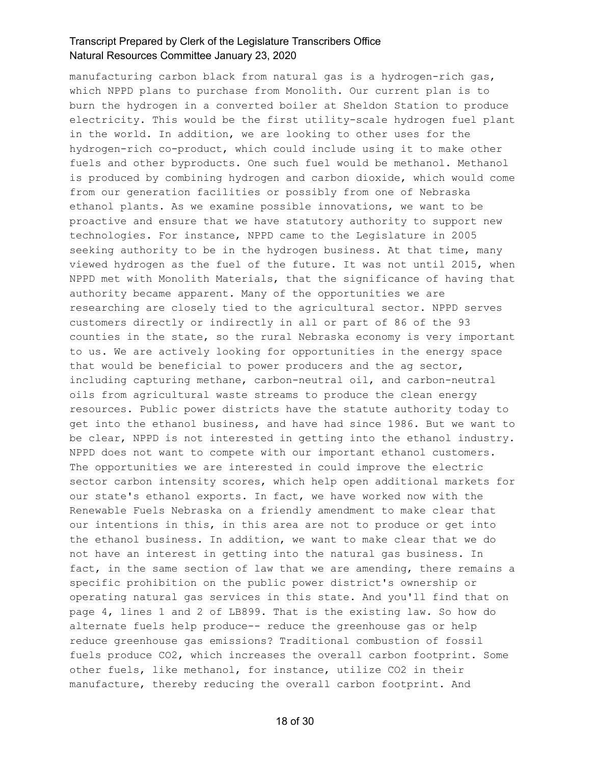manufacturing carbon black from natural gas is a hydrogen-rich gas, which NPPD plans to purchase from Monolith. Our current plan is to burn the hydrogen in a converted boiler at Sheldon Station to produce electricity. This would be the first utility-scale hydrogen fuel plant in the world. In addition, we are looking to other uses for the hydrogen-rich co-product, which could include using it to make other fuels and other byproducts. One such fuel would be methanol. Methanol is produced by combining hydrogen and carbon dioxide, which would come from our generation facilities or possibly from one of Nebraska ethanol plants. As we examine possible innovations, we want to be proactive and ensure that we have statutory authority to support new technologies. For instance, NPPD came to the Legislature in 2005 seeking authority to be in the hydrogen business. At that time, many viewed hydrogen as the fuel of the future. It was not until 2015, when NPPD met with Monolith Materials, that the significance of having that authority became apparent. Many of the opportunities we are researching are closely tied to the agricultural sector. NPPD serves customers directly or indirectly in all or part of 86 of the 93 counties in the state, so the rural Nebraska economy is very important to us. We are actively looking for opportunities in the energy space that would be beneficial to power producers and the ag sector, including capturing methane, carbon-neutral oil, and carbon-neutral oils from agricultural waste streams to produce the clean energy resources. Public power districts have the statute authority today to get into the ethanol business, and have had since 1986. But we want to be clear, NPPD is not interested in getting into the ethanol industry. NPPD does not want to compete with our important ethanol customers. The opportunities we are interested in could improve the electric sector carbon intensity scores, which help open additional markets for our state's ethanol exports. In fact, we have worked now with the Renewable Fuels Nebraska on a friendly amendment to make clear that our intentions in this, in this area are not to produce or get into the ethanol business. In addition, we want to make clear that we do not have an interest in getting into the natural gas business. In fact, in the same section of law that we are amending, there remains a specific prohibition on the public power district's ownership or operating natural gas services in this state. And you'll find that on page 4, lines 1 and 2 of LB899. That is the existing law. So how do alternate fuels help produce-- reduce the greenhouse gas or help reduce greenhouse gas emissions? Traditional combustion of fossil fuels produce CO2, which increases the overall carbon footprint. Some other fuels, like methanol, for instance, utilize CO2 in their manufacture, thereby reducing the overall carbon footprint. And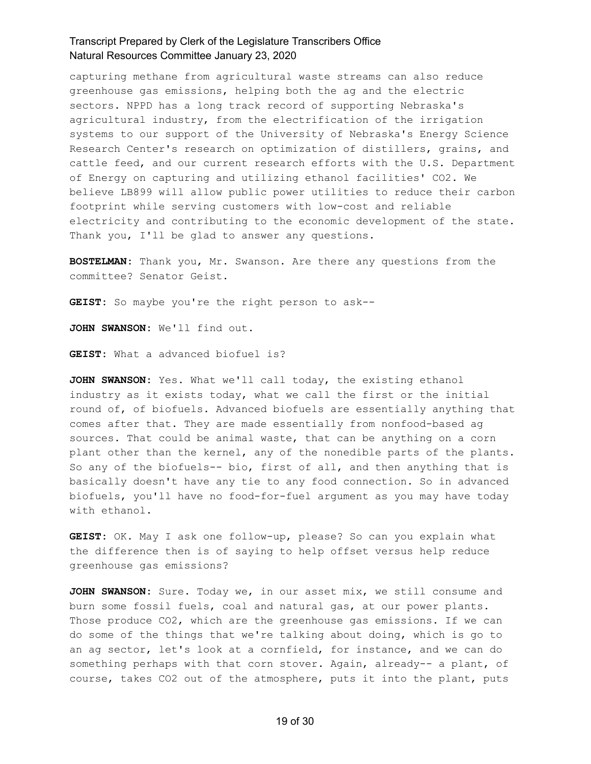capturing methane from agricultural waste streams can also reduce greenhouse gas emissions, helping both the ag and the electric sectors. NPPD has a long track record of supporting Nebraska's agricultural industry, from the electrification of the irrigation systems to our support of the University of Nebraska's Energy Science Research Center's research on optimization of distillers, grains, and cattle feed, and our current research efforts with the U.S. Department of Energy on capturing and utilizing ethanol facilities' CO2. We believe LB899 will allow public power utilities to reduce their carbon footprint while serving customers with low-cost and reliable electricity and contributing to the economic development of the state. Thank you, I'll be glad to answer any questions.

**BOSTELMAN:** Thank you, Mr. Swanson. Are there any questions from the committee? Senator Geist.

**GEIST:** So maybe you're the right person to ask--

**JOHN SWANSON:** We'll find out.

**GEIST:** What a advanced biofuel is?

**JOHN SWANSON:** Yes. What we'll call today, the existing ethanol industry as it exists today, what we call the first or the initial round of, of biofuels. Advanced biofuels are essentially anything that comes after that. They are made essentially from nonfood-based ag sources. That could be animal waste, that can be anything on a corn plant other than the kernel, any of the nonedible parts of the plants. So any of the biofuels-- bio, first of all, and then anything that is basically doesn't have any tie to any food connection. So in advanced biofuels, you'll have no food-for-fuel argument as you may have today with ethanol.

**GEIST:** OK. May I ask one follow-up, please? So can you explain what the difference then is of saying to help offset versus help reduce greenhouse gas emissions?

**JOHN SWANSON:** Sure. Today we, in our asset mix, we still consume and burn some fossil fuels, coal and natural gas, at our power plants. Those produce CO2, which are the greenhouse gas emissions. If we can do some of the things that we're talking about doing, which is go to an ag sector, let's look at a cornfield, for instance, and we can do something perhaps with that corn stover. Again, already-- a plant, of course, takes CO2 out of the atmosphere, puts it into the plant, puts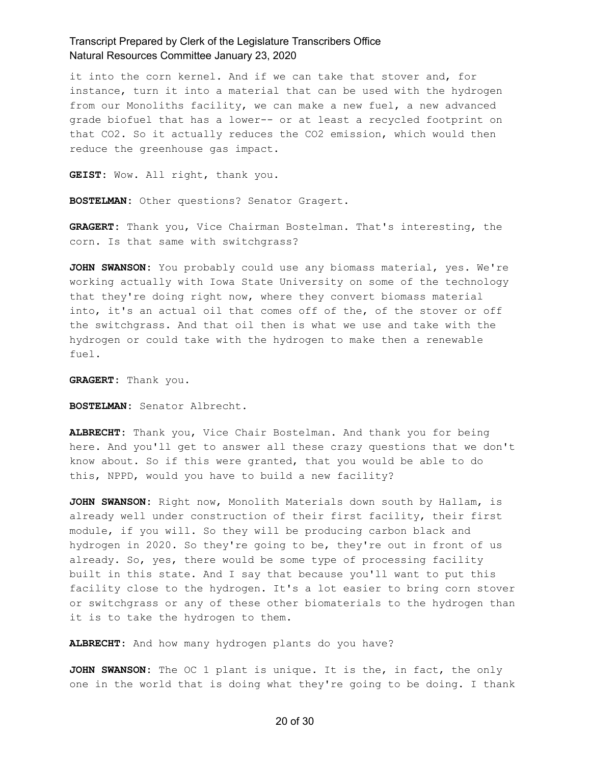it into the corn kernel. And if we can take that stover and, for instance, turn it into a material that can be used with the hydrogen from our Monoliths facility, we can make a new fuel, a new advanced grade biofuel that has a lower-- or at least a recycled footprint on that CO2. So it actually reduces the CO2 emission, which would then reduce the greenhouse gas impact.

**GEIST:** Wow. All right, thank you.

**BOSTELMAN:** Other questions? Senator Gragert.

**GRAGERT:** Thank you, Vice Chairman Bostelman. That's interesting, the corn. Is that same with switchgrass?

**JOHN SWANSON:** You probably could use any biomass material, yes. We're working actually with Iowa State University on some of the technology that they're doing right now, where they convert biomass material into, it's an actual oil that comes off of the, of the stover or off the switchgrass. And that oil then is what we use and take with the hydrogen or could take with the hydrogen to make then a renewable fuel.

**GRAGERT:** Thank you.

**BOSTELMAN:** Senator Albrecht.

**ALBRECHT:** Thank you, Vice Chair Bostelman. And thank you for being here. And you'll get to answer all these crazy questions that we don't know about. So if this were granted, that you would be able to do this, NPPD, would you have to build a new facility?

**JOHN SWANSON:** Right now, Monolith Materials down south by Hallam, is already well under construction of their first facility, their first module, if you will. So they will be producing carbon black and hydrogen in 2020. So they're going to be, they're out in front of us already. So, yes, there would be some type of processing facility built in this state. And I say that because you'll want to put this facility close to the hydrogen. It's a lot easier to bring corn stover or switchgrass or any of these other biomaterials to the hydrogen than it is to take the hydrogen to them.

**ALBRECHT:** And how many hydrogen plants do you have?

**JOHN SWANSON:** The OC 1 plant is unique. It is the, in fact, the only one in the world that is doing what they're going to be doing. I thank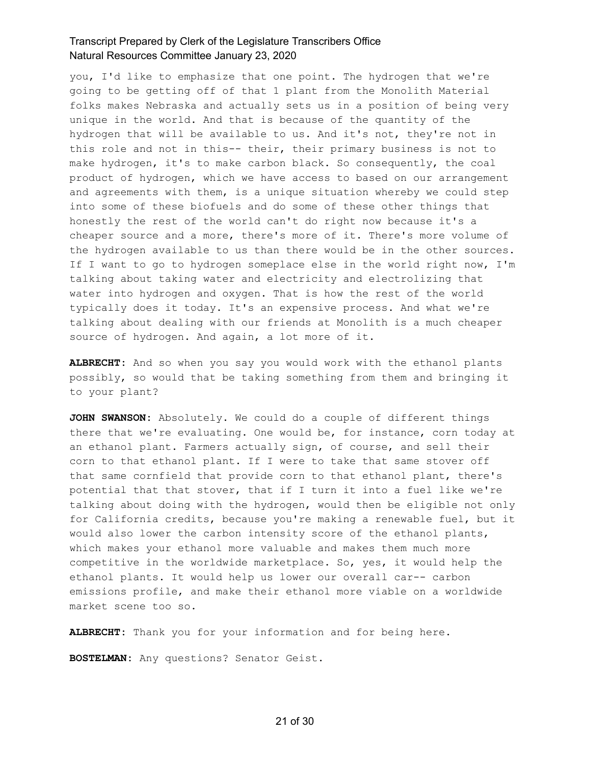you, I'd like to emphasize that one point. The hydrogen that we're going to be getting off of that 1 plant from the Monolith Material folks makes Nebraska and actually sets us in a position of being very unique in the world. And that is because of the quantity of the hydrogen that will be available to us. And it's not, they're not in this role and not in this-- their, their primary business is not to make hydrogen, it's to make carbon black. So consequently, the coal product of hydrogen, which we have access to based on our arrangement and agreements with them, is a unique situation whereby we could step into some of these biofuels and do some of these other things that honestly the rest of the world can't do right now because it's a cheaper source and a more, there's more of it. There's more volume of the hydrogen available to us than there would be in the other sources. If I want to go to hydrogen someplace else in the world right now, I'm talking about taking water and electricity and electrolizing that water into hydrogen and oxygen. That is how the rest of the world typically does it today. It's an expensive process. And what we're talking about dealing with our friends at Monolith is a much cheaper source of hydrogen. And again, a lot more of it.

**ALBRECHT:** And so when you say you would work with the ethanol plants possibly, so would that be taking something from them and bringing it to your plant?

**JOHN SWANSON:** Absolutely. We could do a couple of different things there that we're evaluating. One would be, for instance, corn today at an ethanol plant. Farmers actually sign, of course, and sell their corn to that ethanol plant. If I were to take that same stover off that same cornfield that provide corn to that ethanol plant, there's potential that that stover, that if I turn it into a fuel like we're talking about doing with the hydrogen, would then be eligible not only for California credits, because you're making a renewable fuel, but it would also lower the carbon intensity score of the ethanol plants, which makes your ethanol more valuable and makes them much more competitive in the worldwide marketplace. So, yes, it would help the ethanol plants. It would help us lower our overall car-- carbon emissions profile, and make their ethanol more viable on a worldwide market scene too so.

**ALBRECHT:** Thank you for your information and for being here.

**BOSTELMAN:** Any questions? Senator Geist.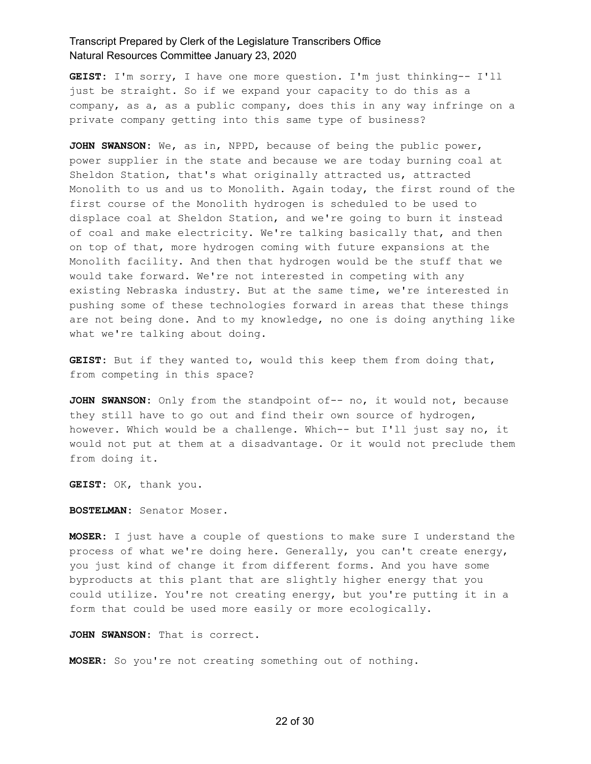**GEIST:** I'm sorry, I have one more question. I'm just thinking-- I'll just be straight. So if we expand your capacity to do this as a company, as a, as a public company, does this in any way infringe on a private company getting into this same type of business?

**JOHN SWANSON:** We, as in, NPPD, because of being the public power, power supplier in the state and because we are today burning coal at Sheldon Station, that's what originally attracted us, attracted Monolith to us and us to Monolith. Again today, the first round of the first course of the Monolith hydrogen is scheduled to be used to displace coal at Sheldon Station, and we're going to burn it instead of coal and make electricity. We're talking basically that, and then on top of that, more hydrogen coming with future expansions at the Monolith facility. And then that hydrogen would be the stuff that we would take forward. We're not interested in competing with any existing Nebraska industry. But at the same time, we're interested in pushing some of these technologies forward in areas that these things are not being done. And to my knowledge, no one is doing anything like what we're talking about doing.

**GEIST:** But if they wanted to, would this keep them from doing that, from competing in this space?

**JOHN SWANSON:** Only from the standpoint of-- no, it would not, because they still have to go out and find their own source of hydrogen, however. Which would be a challenge. Which-- but I'll just say no, it would not put at them at a disadvantage. Or it would not preclude them from doing it.

**GEIST:** OK, thank you.

**BOSTELMAN:** Senator Moser.

**MOSER:** I just have a couple of questions to make sure I understand the process of what we're doing here. Generally, you can't create energy, you just kind of change it from different forms. And you have some byproducts at this plant that are slightly higher energy that you could utilize. You're not creating energy, but you're putting it in a form that could be used more easily or more ecologically.

**JOHN SWANSON:** That is correct.

**MOSER:** So you're not creating something out of nothing.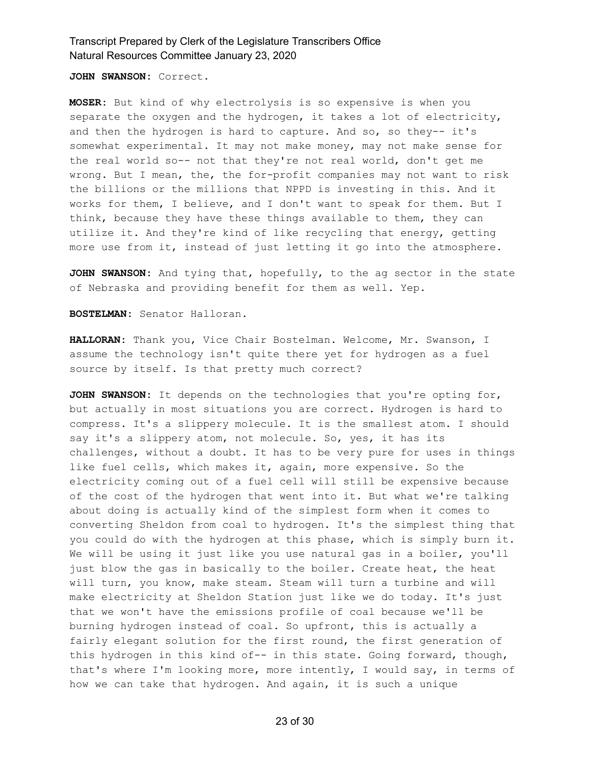**JOHN SWANSON:** Correct.

**MOSER:** But kind of why electrolysis is so expensive is when you separate the oxygen and the hydrogen, it takes a lot of electricity, and then the hydrogen is hard to capture. And so, so they-- it's somewhat experimental. It may not make money, may not make sense for the real world so-- not that they're not real world, don't get me wrong. But I mean, the, the for-profit companies may not want to risk the billions or the millions that NPPD is investing in this. And it works for them, I believe, and I don't want to speak for them. But I think, because they have these things available to them, they can utilize it. And they're kind of like recycling that energy, getting more use from it, instead of just letting it go into the atmosphere.

**JOHN SWANSON:** And tying that, hopefully, to the ag sector in the state of Nebraska and providing benefit for them as well. Yep.

**BOSTELMAN:** Senator Halloran.

**HALLORAN:** Thank you, Vice Chair Bostelman. Welcome, Mr. Swanson, I assume the technology isn't quite there yet for hydrogen as a fuel source by itself. Is that pretty much correct?

**JOHN SWANSON:** It depends on the technologies that you're opting for, but actually in most situations you are correct. Hydrogen is hard to compress. It's a slippery molecule. It is the smallest atom. I should say it's a slippery atom, not molecule. So, yes, it has its challenges, without a doubt. It has to be very pure for uses in things like fuel cells, which makes it, again, more expensive. So the electricity coming out of a fuel cell will still be expensive because of the cost of the hydrogen that went into it. But what we're talking about doing is actually kind of the simplest form when it comes to converting Sheldon from coal to hydrogen. It's the simplest thing that you could do with the hydrogen at this phase, which is simply burn it. We will be using it just like you use natural gas in a boiler, you'll just blow the gas in basically to the boiler. Create heat, the heat will turn, you know, make steam. Steam will turn a turbine and will make electricity at Sheldon Station just like we do today. It's just that we won't have the emissions profile of coal because we'll be burning hydrogen instead of coal. So upfront, this is actually a fairly elegant solution for the first round, the first generation of this hydrogen in this kind of-- in this state. Going forward, though, that's where I'm looking more, more intently, I would say, in terms of how we can take that hydrogen. And again, it is such a unique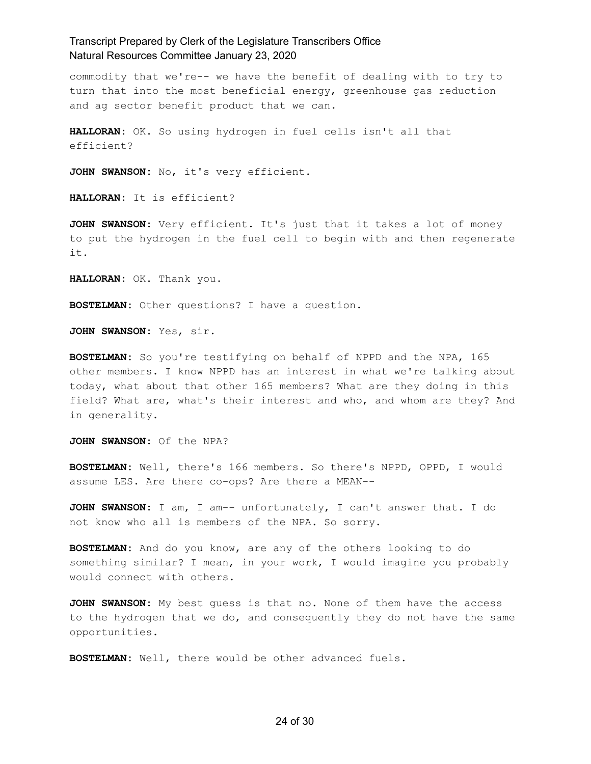commodity that we're-- we have the benefit of dealing with to try to turn that into the most beneficial energy, greenhouse gas reduction and ag sector benefit product that we can.

**HALLORAN:** OK. So using hydrogen in fuel cells isn't all that efficient?

**JOHN SWANSON:** No, it's very efficient.

**HALLORAN:** It is efficient?

**JOHN SWANSON:** Very efficient. It's just that it takes a lot of money to put the hydrogen in the fuel cell to begin with and then regenerate it.

**HALLORAN:** OK. Thank you.

**BOSTELMAN:** Other questions? I have a question.

**JOHN SWANSON:** Yes, sir.

**BOSTELMAN:** So you're testifying on behalf of NPPD and the NPA, 165 other members. I know NPPD has an interest in what we're talking about today, what about that other 165 members? What are they doing in this field? What are, what's their interest and who, and whom are they? And in generality.

**JOHN SWANSON:** Of the NPA?

**BOSTELMAN:** Well, there's 166 members. So there's NPPD, OPPD, I would assume LES. Are there co-ops? Are there a MEAN--

**JOHN SWANSON:** I am, I am-- unfortunately, I can't answer that. I do not know who all is members of the NPA. So sorry.

**BOSTELMAN:** And do you know, are any of the others looking to do something similar? I mean, in your work, I would imagine you probably would connect with others.

**JOHN SWANSON:** My best guess is that no. None of them have the access to the hydrogen that we do, and consequently they do not have the same opportunities.

**BOSTELMAN:** Well, there would be other advanced fuels.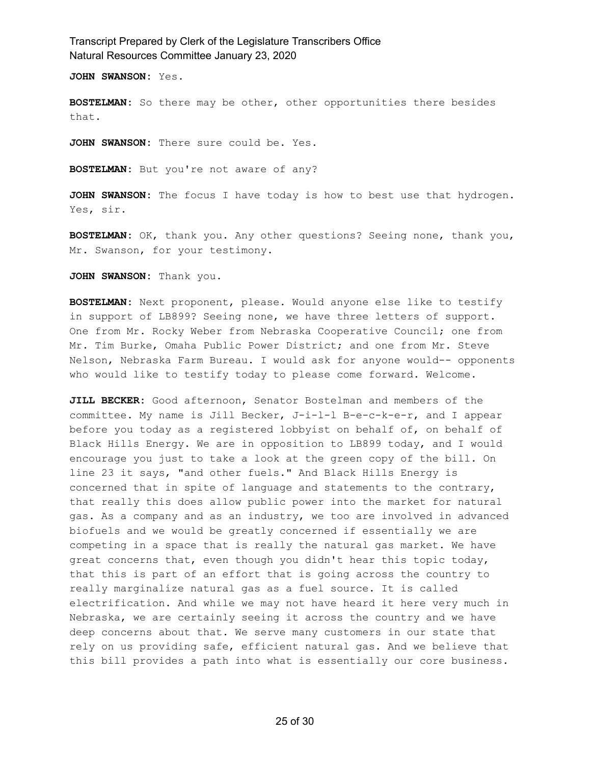**JOHN SWANSON:** Yes.

**BOSTELMAN:** So there may be other, other opportunities there besides that.

**JOHN SWANSON:** There sure could be. Yes.

**BOSTELMAN:** But you're not aware of any?

**JOHN SWANSON:** The focus I have today is how to best use that hydrogen. Yes, sir.

**BOSTELMAN:** OK, thank you. Any other questions? Seeing none, thank you, Mr. Swanson, for your testimony.

**JOHN SWANSON:** Thank you.

**BOSTELMAN:** Next proponent, please. Would anyone else like to testify in support of LB899? Seeing none, we have three letters of support. One from Mr. Rocky Weber from Nebraska Cooperative Council; one from Mr. Tim Burke, Omaha Public Power District; and one from Mr. Steve Nelson, Nebraska Farm Bureau. I would ask for anyone would-- opponents who would like to testify today to please come forward. Welcome.

**JILL BECKER:** Good afternoon, Senator Bostelman and members of the committee. My name is Jill Becker, J-i-l-l B-e-c-k-e-r, and I appear before you today as a registered lobbyist on behalf of, on behalf of Black Hills Energy. We are in opposition to LB899 today, and I would encourage you just to take a look at the green copy of the bill. On line 23 it says, "and other fuels." And Black Hills Energy is concerned that in spite of language and statements to the contrary, that really this does allow public power into the market for natural gas. As a company and as an industry, we too are involved in advanced biofuels and we would be greatly concerned if essentially we are competing in a space that is really the natural gas market. We have great concerns that, even though you didn't hear this topic today, that this is part of an effort that is going across the country to really marginalize natural gas as a fuel source. It is called electrification. And while we may not have heard it here very much in Nebraska, we are certainly seeing it across the country and we have deep concerns about that. We serve many customers in our state that rely on us providing safe, efficient natural gas. And we believe that this bill provides a path into what is essentially our core business.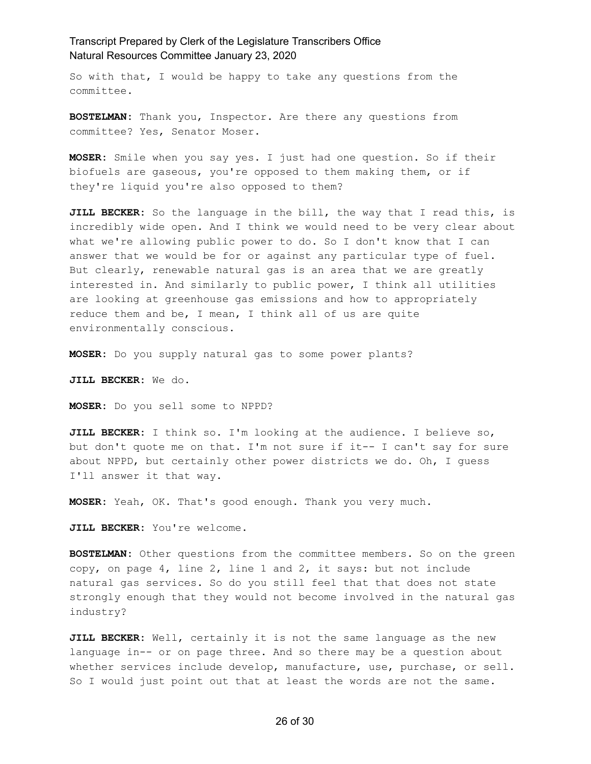So with that, I would be happy to take any questions from the committee.

**BOSTELMAN:** Thank you, Inspector. Are there any questions from committee? Yes, Senator Moser.

**MOSER:** Smile when you say yes. I just had one question. So if their biofuels are gaseous, you're opposed to them making them, or if they're liquid you're also opposed to them?

**JILL BECKER:** So the language in the bill, the way that I read this, is incredibly wide open. And I think we would need to be very clear about what we're allowing public power to do. So I don't know that I can answer that we would be for or against any particular type of fuel. But clearly, renewable natural gas is an area that we are greatly interested in. And similarly to public power, I think all utilities are looking at greenhouse gas emissions and how to appropriately reduce them and be, I mean, I think all of us are quite environmentally conscious.

**MOSER:** Do you supply natural gas to some power plants?

**JILL BECKER:** We do.

**MOSER:** Do you sell some to NPPD?

**JILL BECKER:** I think so. I'm looking at the audience. I believe so, but don't quote me on that. I'm not sure if it-- I can't say for sure about NPPD, but certainly other power districts we do. Oh, I guess I'll answer it that way.

**MOSER:** Yeah, OK. That's good enough. Thank you very much.

**JILL BECKER:** You're welcome.

**BOSTELMAN:** Other questions from the committee members. So on the green copy, on page 4, line 2, line 1 and 2, it says: but not include natural gas services. So do you still feel that that does not state strongly enough that they would not become involved in the natural gas industry?

**JILL BECKER:** Well, certainly it is not the same language as the new language in-- or on page three. And so there may be a question about whether services include develop, manufacture, use, purchase, or sell. So I would just point out that at least the words are not the same.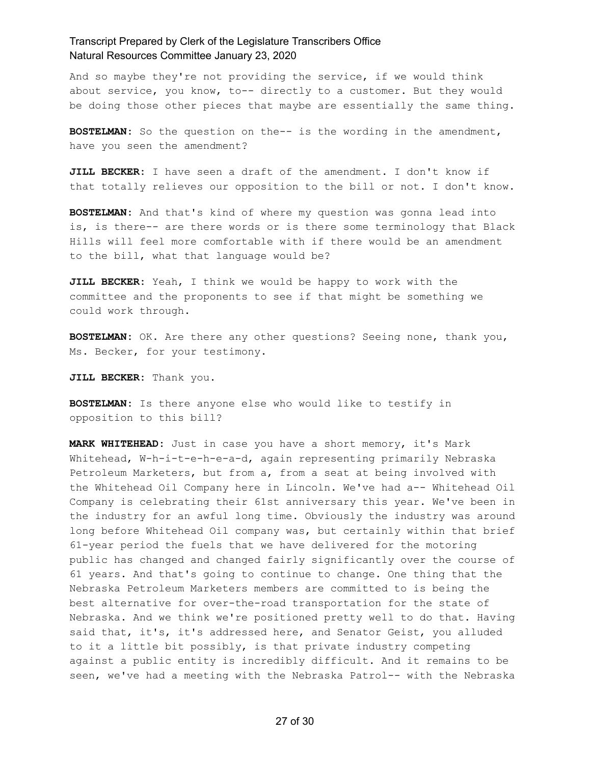And so maybe they're not providing the service, if we would think about service, you know, to-- directly to a customer. But they would be doing those other pieces that maybe are essentially the same thing.

**BOSTELMAN:** So the question on the-- is the wording in the amendment, have you seen the amendment?

**JILL BECKER:** I have seen a draft of the amendment. I don't know if that totally relieves our opposition to the bill or not. I don't know.

**BOSTELMAN:** And that's kind of where my question was gonna lead into is, is there-- are there words or is there some terminology that Black Hills will feel more comfortable with if there would be an amendment to the bill, what that language would be?

**JILL BECKER:** Yeah, I think we would be happy to work with the committee and the proponents to see if that might be something we could work through.

**BOSTELMAN:** OK. Are there any other questions? Seeing none, thank you, Ms. Becker, for your testimony.

**JILL BECKER:** Thank you.

**BOSTELMAN:** Is there anyone else who would like to testify in opposition to this bill?

**MARK WHITEHEAD:** Just in case you have a short memory, it's Mark Whitehead, W-h-i-t-e-h-e-a-d, again representing primarily Nebraska Petroleum Marketers, but from a, from a seat at being involved with the Whitehead Oil Company here in Lincoln. We've had a-- Whitehead Oil Company is celebrating their 61st anniversary this year. We've been in the industry for an awful long time. Obviously the industry was around long before Whitehead Oil company was, but certainly within that brief 61-year period the fuels that we have delivered for the motoring public has changed and changed fairly significantly over the course of 61 years. And that's going to continue to change. One thing that the Nebraska Petroleum Marketers members are committed to is being the best alternative for over-the-road transportation for the state of Nebraska. And we think we're positioned pretty well to do that. Having said that, it's, it's addressed here, and Senator Geist, you alluded to it a little bit possibly, is that private industry competing against a public entity is incredibly difficult. And it remains to be seen, we've had a meeting with the Nebraska Patrol-- with the Nebraska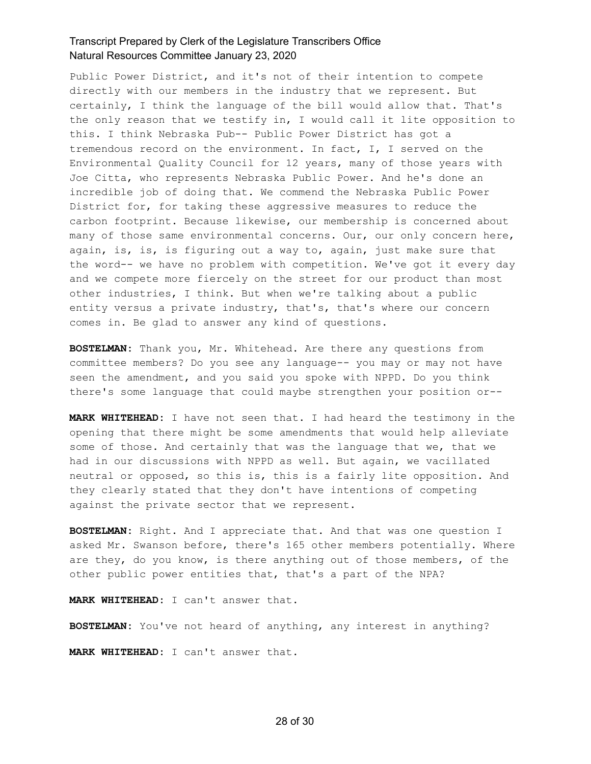Public Power District, and it's not of their intention to compete directly with our members in the industry that we represent. But certainly, I think the language of the bill would allow that. That's the only reason that we testify in, I would call it lite opposition to this. I think Nebraska Pub-- Public Power District has got a tremendous record on the environment. In fact, I, I served on the Environmental Quality Council for 12 years, many of those years with Joe Citta, who represents Nebraska Public Power. And he's done an incredible job of doing that. We commend the Nebraska Public Power District for, for taking these aggressive measures to reduce the carbon footprint. Because likewise, our membership is concerned about many of those same environmental concerns. Our, our only concern here, again, is, is, is figuring out a way to, again, just make sure that the word-- we have no problem with competition. We've got it every day and we compete more fiercely on the street for our product than most other industries, I think. But when we're talking about a public entity versus a private industry, that's, that's where our concern comes in. Be glad to answer any kind of questions.

**BOSTELMAN:** Thank you, Mr. Whitehead. Are there any questions from committee members? Do you see any language-- you may or may not have seen the amendment, and you said you spoke with NPPD. Do you think there's some language that could maybe strengthen your position or--

**MARK WHITEHEAD:** I have not seen that. I had heard the testimony in the opening that there might be some amendments that would help alleviate some of those. And certainly that was the language that we, that we had in our discussions with NPPD as well. But again, we vacillated neutral or opposed, so this is, this is a fairly lite opposition. And they clearly stated that they don't have intentions of competing against the private sector that we represent.

**BOSTELMAN:** Right. And I appreciate that. And that was one question I asked Mr. Swanson before, there's 165 other members potentially. Where are they, do you know, is there anything out of those members, of the other public power entities that, that's a part of the NPA?

**MARK WHITEHEAD:** I can't answer that.

**BOSTELMAN:** You've not heard of anything, any interest in anything?

**MARK WHITEHEAD:** I can't answer that.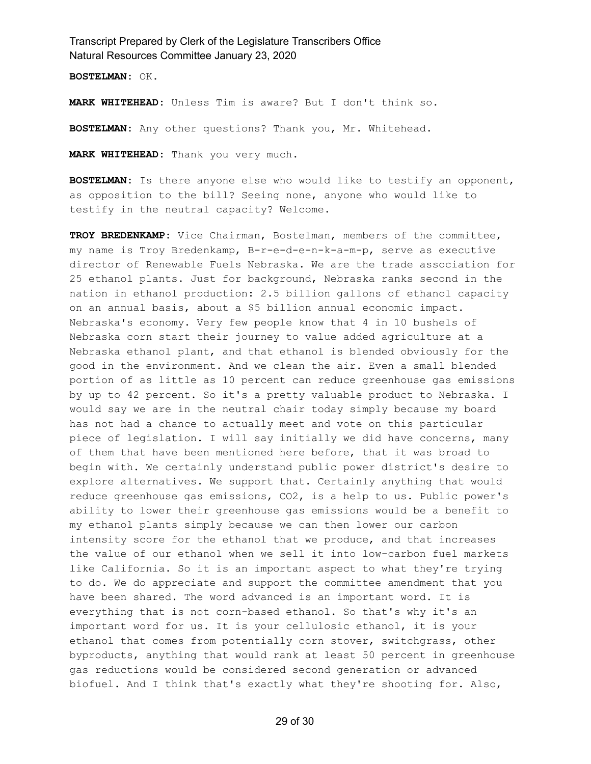**BOSTELMAN:** OK.

**MARK WHITEHEAD:** Unless Tim is aware? But I don't think so.

**BOSTELMAN:** Any other questions? Thank you, Mr. Whitehead.

**MARK WHITEHEAD:** Thank you very much.

**BOSTELMAN:** Is there anyone else who would like to testify an opponent, as opposition to the bill? Seeing none, anyone who would like to testify in the neutral capacity? Welcome.

**TROY BREDENKAMP:** Vice Chairman, Bostelman, members of the committee, my name is Troy Bredenkamp, B-r-e-d-e-n-k-a-m-p, serve as executive director of Renewable Fuels Nebraska. We are the trade association for 25 ethanol plants. Just for background, Nebraska ranks second in the nation in ethanol production: 2.5 billion gallons of ethanol capacity on an annual basis, about a \$5 billion annual economic impact. Nebraska's economy. Very few people know that 4 in 10 bushels of Nebraska corn start their journey to value added agriculture at a Nebraska ethanol plant, and that ethanol is blended obviously for the good in the environment. And we clean the air. Even a small blended portion of as little as 10 percent can reduce greenhouse gas emissions by up to 42 percent. So it's a pretty valuable product to Nebraska. I would say we are in the neutral chair today simply because my board has not had a chance to actually meet and vote on this particular piece of legislation. I will say initially we did have concerns, many of them that have been mentioned here before, that it was broad to begin with. We certainly understand public power district's desire to explore alternatives. We support that. Certainly anything that would reduce greenhouse gas emissions, CO2, is a help to us. Public power's ability to lower their greenhouse gas emissions would be a benefit to my ethanol plants simply because we can then lower our carbon intensity score for the ethanol that we produce, and that increases the value of our ethanol when we sell it into low-carbon fuel markets like California. So it is an important aspect to what they're trying to do. We do appreciate and support the committee amendment that you have been shared. The word advanced is an important word. It is everything that is not corn-based ethanol. So that's why it's an important word for us. It is your cellulosic ethanol, it is your ethanol that comes from potentially corn stover, switchgrass, other byproducts, anything that would rank at least 50 percent in greenhouse gas reductions would be considered second generation or advanced biofuel. And I think that's exactly what they're shooting for. Also,